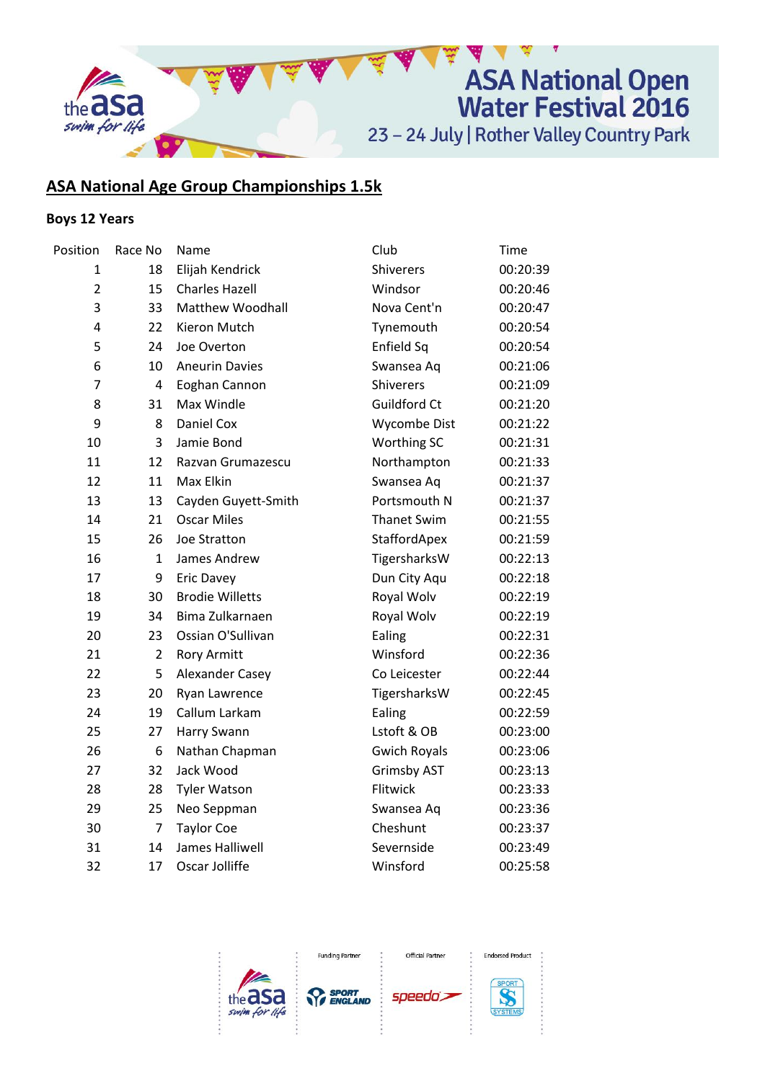

# **ASA National Age Group Championships 1.5k**

# **Boys 12 Years**

| Position       | Race No        | Name                    | Club                | Time     |
|----------------|----------------|-------------------------|---------------------|----------|
| 1              | 18             | Elijah Kendrick         | Shiverers           | 00:20:39 |
| $\overline{2}$ | 15             | <b>Charles Hazell</b>   | Windsor             | 00:20:46 |
| 3              | 33             | <b>Matthew Woodhall</b> | Nova Cent'n         | 00:20:47 |
| 4              | 22             | Kieron Mutch            | Tynemouth           | 00:20:54 |
| 5              | 24             | Joe Overton             | Enfield Sq          | 00:20:54 |
| 6              | 10             | <b>Aneurin Davies</b>   | Swansea Aq          | 00:21:06 |
| $\overline{7}$ | $\overline{4}$ | Eoghan Cannon           | <b>Shiverers</b>    | 00:21:09 |
| 8              | 31             | Max Windle              | Guildford Ct        | 00:21:20 |
| 9              | 8              | Daniel Cox              | Wycombe Dist        | 00:21:22 |
| 10             | 3              | Jamie Bond              | Worthing SC         | 00:21:31 |
| 11             | 12             | Razvan Grumazescu       | Northampton         | 00:21:33 |
| 12             | 11             | Max Elkin               | Swansea Aq          | 00:21:37 |
| 13             | 13             | Cayden Guyett-Smith     | Portsmouth N        | 00:21:37 |
| 14             | 21             | <b>Oscar Miles</b>      | <b>Thanet Swim</b>  | 00:21:55 |
| 15             | 26             | Joe Stratton            | StaffordApex        | 00:21:59 |
| 16             | 1              | James Andrew            | TigersharksW        | 00:22:13 |
| 17             | 9              | <b>Eric Davey</b>       | Dun City Aqu        | 00:22:18 |
| 18             | 30             | <b>Brodie Willetts</b>  | Royal Wolv          | 00:22:19 |
| 19             | 34             | Bima Zulkarnaen         | Royal Wolv          | 00:22:19 |
| 20             | 23             | Ossian O'Sullivan       | Ealing              | 00:22:31 |
| 21             | $\overline{2}$ | <b>Rory Armitt</b>      | Winsford            | 00:22:36 |
| 22             | 5              | Alexander Casey         | Co Leicester        | 00:22:44 |
| 23             | 20             | Ryan Lawrence           | TigersharksW        | 00:22:45 |
| 24             | 19             | Callum Larkam           | Ealing              | 00:22:59 |
| 25             | 27             | Harry Swann             | Lstoft & OB         | 00:23:00 |
| 26             | 6              | Nathan Chapman          | <b>Gwich Royals</b> | 00:23:06 |
| 27             | 32             | Jack Wood               | <b>Grimsby AST</b>  | 00:23:13 |
| 28             | 28             | <b>Tyler Watson</b>     | Flitwick            | 00:23:33 |
| 29             | 25             | Neo Seppman             | Swansea Aq          | 00:23:36 |
| 30             | $\overline{7}$ | <b>Taylor Coe</b>       | Cheshunt            | 00:23:37 |
| 31             | 14             | James Halliwell         | Severnside          | 00:23:49 |
| 32             | 17             | Oscar Jolliffe          | Winsford            | 00:25:58 |
|                |                |                         |                     |          |





Official Partner

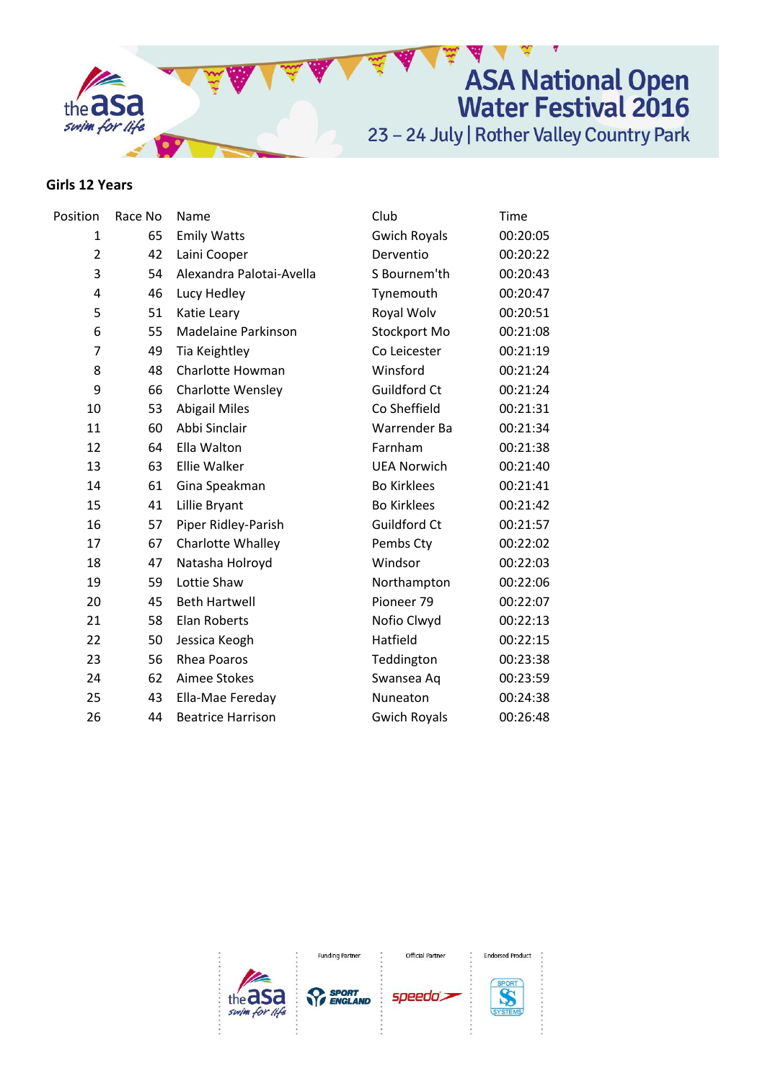

### **Girls 12 Years**

| Race No | Name                     | Club                | Time     |
|---------|--------------------------|---------------------|----------|
| 65      | <b>Emily Watts</b>       | <b>Gwich Royals</b> | 00:20:05 |
| 42      | Laini Cooper             | Derventio           | 00:20:22 |
| 54      | Alexandra Palotai-Avella | S Bournem'th        | 00:20:43 |
| 46      | Lucy Hedley              | Tynemouth           | 00:20:47 |
| 51      | Katie Leary              | Royal Wolv          | 00:20:51 |
| 55      | Madelaine Parkinson      | Stockport Mo        | 00:21:08 |
| 49      | Tia Keightley            | Co Leicester        | 00:21:19 |
| 48      | Charlotte Howman         | Winsford            | 00:21:24 |
| 66      | <b>Charlotte Wensley</b> | Guildford Ct        | 00:21:24 |
| 53      | <b>Abigail Miles</b>     | Co Sheffield        | 00:21:31 |
| 60      | Abbi Sinclair            | Warrender Ba        | 00:21:34 |
| 64      | Ella Walton              | Farnham             | 00:21:38 |
| 63      | Ellie Walker             | <b>UEA Norwich</b>  | 00:21:40 |
| 61      | Gina Speakman            | <b>Bo Kirklees</b>  | 00:21:41 |
| 41      | Lillie Bryant            | <b>Bo Kirklees</b>  | 00:21:42 |
| 57      | Piper Ridley-Parish      | Guildford Ct        | 00:21:57 |
| 67      | Charlotte Whalley        | Pembs Cty           | 00:22:02 |
| 47      | Natasha Holroyd          | Windsor             | 00:22:03 |
| 59      | Lottie Shaw              | Northampton         | 00:22:06 |
| 45      | <b>Beth Hartwell</b>     | Pioneer 79          | 00:22:07 |
| 58      | <b>Elan Roberts</b>      | Nofio Clwyd         | 00:22:13 |
| 50      | Jessica Keogh            | Hatfield            | 00:22:15 |
| 56      | <b>Rhea Poaros</b>       | Teddington          | 00:23:38 |
| 62      | Aimee Stokes             | Swansea Aq          | 00:23:59 |
| 43      | Ella-Mae Fereday         | Nuneaton            | 00:24:38 |
| 44      | <b>Beatrice Harrison</b> | <b>Gwich Royals</b> | 00:26:48 |
|         |                          |                     |          |



**Funding Partner** 

Official Partner

speedo's



**Endorsed Product**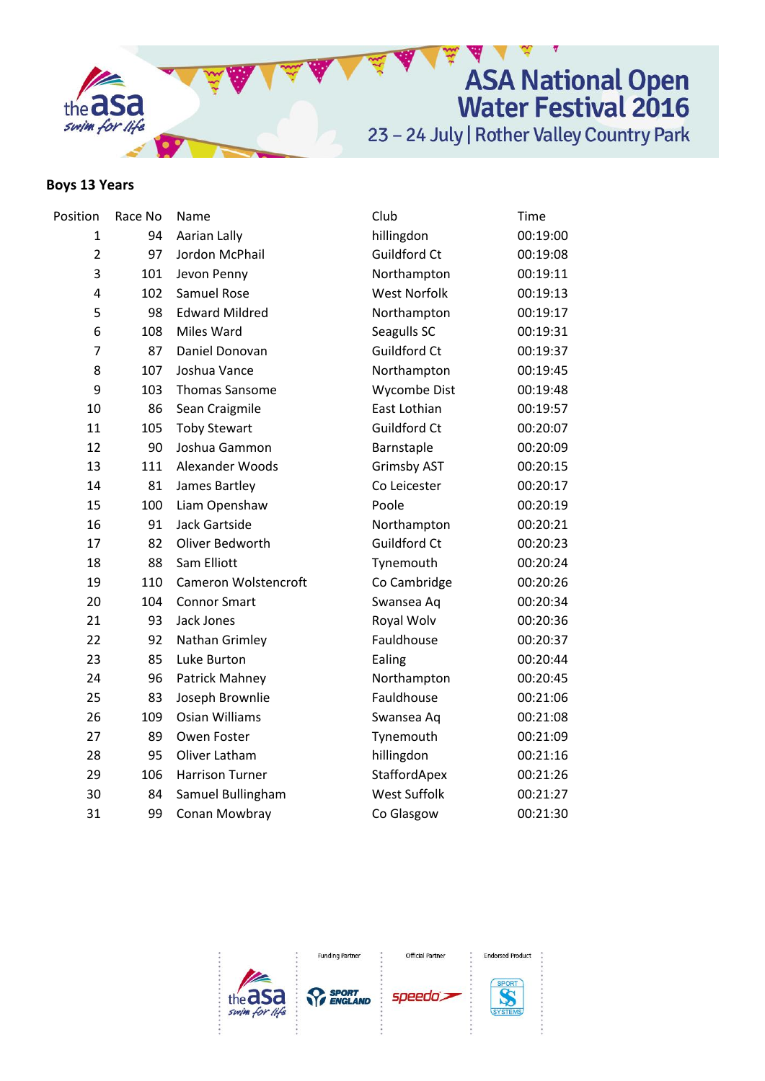

# **Boys 13 Years**

| Position       | Race No | Name                   | Club                | Time     |
|----------------|---------|------------------------|---------------------|----------|
| 1              | 94      | Aarian Lally           | hillingdon          | 00:19:00 |
| $\overline{2}$ | 97      | Jordon McPhail         | Guildford Ct        | 00:19:08 |
| 3              | 101     | Jevon Penny            | Northampton         | 00:19:11 |
| 4              | 102     | Samuel Rose            | <b>West Norfolk</b> | 00:19:13 |
| 5              | 98      | <b>Edward Mildred</b>  | Northampton         | 00:19:17 |
| 6              | 108     | Miles Ward             | Seagulls SC         | 00:19:31 |
| $\overline{7}$ | 87      | Daniel Donovan         | Guildford Ct        | 00:19:37 |
| 8              | 107     | Joshua Vance           | Northampton         | 00:19:45 |
| 9              | 103     | <b>Thomas Sansome</b>  | Wycombe Dist        | 00:19:48 |
| 10             | 86      | Sean Craigmile         | East Lothian        | 00:19:57 |
| 11             | 105     | <b>Toby Stewart</b>    | Guildford Ct        | 00:20:07 |
| 12             | 90      | Joshua Gammon          | Barnstaple          | 00:20:09 |
| 13             | 111     | Alexander Woods        | <b>Grimsby AST</b>  | 00:20:15 |
| 14             | 81      | James Bartley          | Co Leicester        | 00:20:17 |
| 15             | 100     | Liam Openshaw          | Poole               | 00:20:19 |
| 16             | 91      | Jack Gartside          | Northampton         | 00:20:21 |
| 17             | 82      | Oliver Bedworth        | Guildford Ct        | 00:20:23 |
| 18             | 88      | Sam Elliott            | Tynemouth           | 00:20:24 |
| 19             | 110     | Cameron Wolstencroft   | Co Cambridge        | 00:20:26 |
| 20             | 104     | <b>Connor Smart</b>    | Swansea Aq          | 00:20:34 |
| 21             | 93      | Jack Jones             | Royal Wolv          | 00:20:36 |
| 22             | 92      | Nathan Grimley         | Fauldhouse          | 00:20:37 |
| 23             | 85      | Luke Burton            | Ealing              | 00:20:44 |
| 24             | 96      | Patrick Mahney         | Northampton         | 00:20:45 |
| 25             | 83      | Joseph Brownlie        | Fauldhouse          | 00:21:06 |
| 26             | 109     | <b>Osian Williams</b>  | Swansea Aq          | 00:21:08 |
| 27             | 89      | Owen Foster            | Tynemouth           | 00:21:09 |
| 28             | 95      | Oliver Latham          | hillingdon          | 00:21:16 |
| 29             | 106     | <b>Harrison Turner</b> | StaffordApex        | 00:21:26 |
| 30             | 84      | Samuel Bullingham      | <b>West Suffolk</b> | 00:21:27 |
| 31             | 99      | Conan Mowbray          | Co Glasgow          | 00:21:30 |
|                |         |                        |                     |          |





Official Partner



SYSTEM

**Endorsed Product**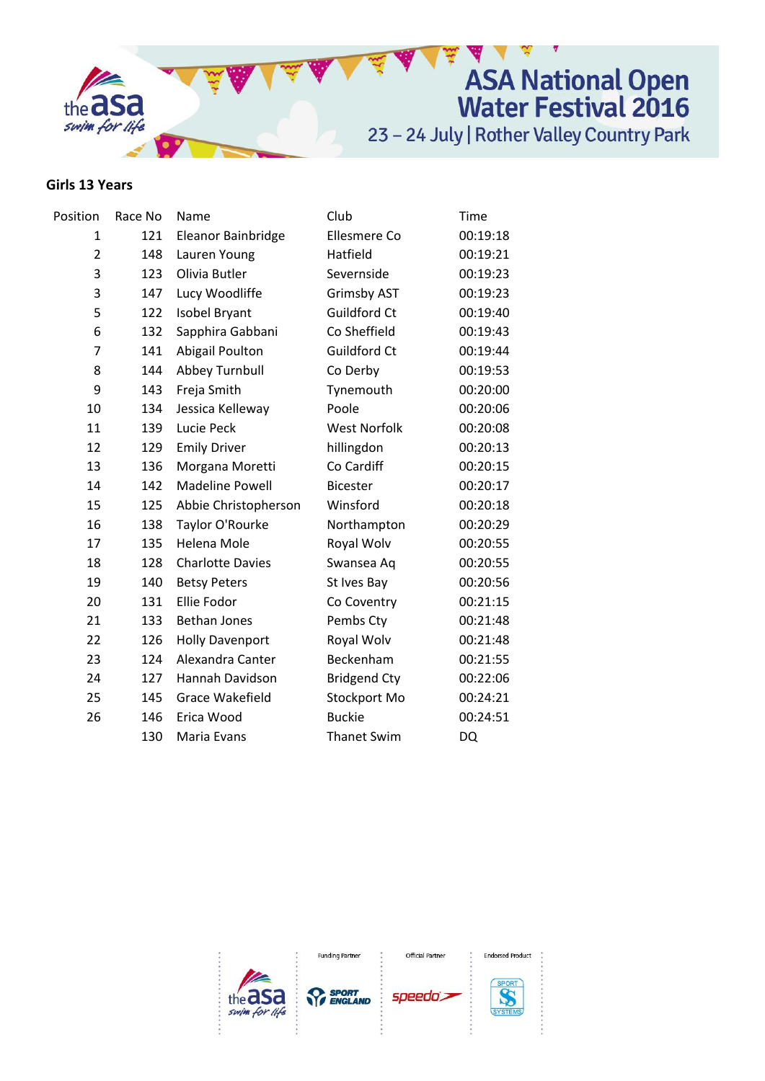

## **Girls 13 Years**

| Position       | Race No | Name                    | Club                | Time     |
|----------------|---------|-------------------------|---------------------|----------|
| 1              | 121     | Eleanor Bainbridge      | Ellesmere Co        | 00:19:18 |
| $\overline{2}$ | 148     | Lauren Young            | Hatfield            | 00:19:21 |
| 3              | 123     | Olivia Butler           | Severnside          | 00:19:23 |
| 3              | 147     | Lucy Woodliffe          | <b>Grimsby AST</b>  | 00:19:23 |
| 5              | 122     | Isobel Bryant           | Guildford Ct        | 00:19:40 |
| 6              | 132     | Sapphira Gabbani        | Co Sheffield        | 00:19:43 |
| 7              | 141     | <b>Abigail Poulton</b>  | Guildford Ct        | 00:19:44 |
| 8              | 144     | Abbey Turnbull          | Co Derby            | 00:19:53 |
| 9              | 143     | Freja Smith             | Tynemouth           | 00:20:00 |
| 10             | 134     | Jessica Kelleway        | Poole               | 00:20:06 |
| 11             | 139     | Lucie Peck              | <b>West Norfolk</b> | 00:20:08 |
| 12             | 129     | <b>Emily Driver</b>     | hillingdon          | 00:20:13 |
| 13             | 136     | Morgana Moretti         | Co Cardiff          | 00:20:15 |
| 14             | 142     | <b>Madeline Powell</b>  | <b>Bicester</b>     | 00:20:17 |
| 15             | 125     | Abbie Christopherson    | Winsford            | 00:20:18 |
| 16             | 138     | Taylor O'Rourke         | Northampton         | 00:20:29 |
| 17             | 135     | Helena Mole             | Royal Wolv          | 00:20:55 |
| 18             | 128     | <b>Charlotte Davies</b> | Swansea Aq          | 00:20:55 |
| 19             | 140     | <b>Betsy Peters</b>     | St Ives Bay         | 00:20:56 |
| 20             | 131     | Ellie Fodor             | Co Coventry         | 00:21:15 |
| 21             | 133     | <b>Bethan Jones</b>     | Pembs Cty           | 00:21:48 |
| 22             | 126     | <b>Holly Davenport</b>  | Royal Wolv          | 00:21:48 |
| 23             | 124     | Alexandra Canter        | Beckenham           | 00:21:55 |
| 24             | 127     | Hannah Davidson         | <b>Bridgend Cty</b> | 00:22:06 |
| 25             | 145     | Grace Wakefield         | Stockport Mo        | 00:24:21 |
| 26             | 146     | Erica Wood              | <b>Buckie</b>       | 00:24:51 |
|                | 130     | Maria Evans             | <b>Thanet Swim</b>  | DQ       |
|                |         |                         |                     |          |

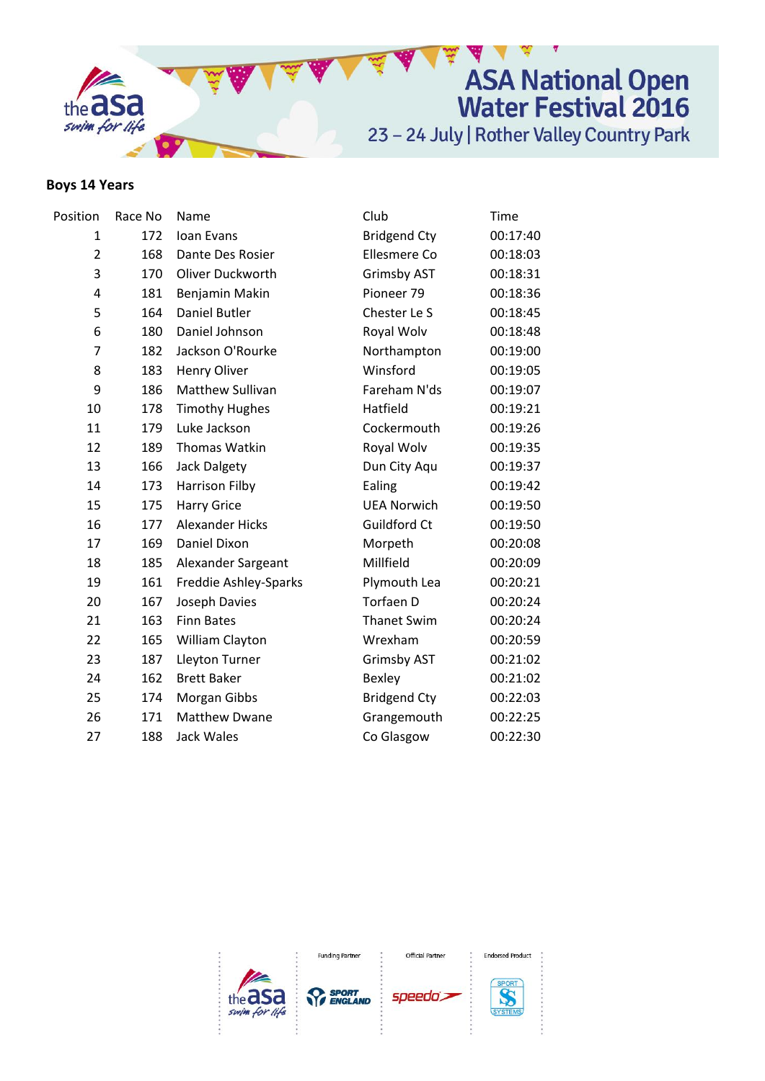

# **Boys 14 Years**

| Position                | Race No | Name                   | Club                | Time     |
|-------------------------|---------|------------------------|---------------------|----------|
| 1                       | 172     | Ioan Evans             | <b>Bridgend Cty</b> | 00:17:40 |
| $\overline{2}$          | 168     | Dante Des Rosier       | Ellesmere Co        | 00:18:03 |
| 3                       | 170     | Oliver Duckworth       | <b>Grimsby AST</b>  | 00:18:31 |
| $\overline{\mathbf{4}}$ | 181     | Benjamin Makin         | Pioneer 79          | 00:18:36 |
| 5                       | 164     | Daniel Butler          | Chester Le S        | 00:18:45 |
| 6                       | 180     | Daniel Johnson         | Royal Wolv          | 00:18:48 |
| 7                       | 182     | Jackson O'Rourke       | Northampton         | 00:19:00 |
| 8                       | 183     | Henry Oliver           | Winsford            | 00:19:05 |
| 9                       | 186     | Matthew Sullivan       | Fareham N'ds        | 00:19:07 |
| 10                      | 178     | <b>Timothy Hughes</b>  | Hatfield            | 00:19:21 |
| 11                      | 179     | Luke Jackson           | Cockermouth         | 00:19:26 |
| 12                      | 189     | Thomas Watkin          | Royal Wolv          | 00:19:35 |
| 13                      | 166     | <b>Jack Dalgety</b>    | Dun City Aqu        | 00:19:37 |
| 14                      | 173     | Harrison Filby         | Ealing              | 00:19:42 |
| 15                      | 175     | <b>Harry Grice</b>     | <b>UEA Norwich</b>  | 00:19:50 |
| 16                      | 177     | <b>Alexander Hicks</b> | Guildford Ct        | 00:19:50 |
| 17                      | 169     | Daniel Dixon           | Morpeth             | 00:20:08 |
| 18                      | 185     | Alexander Sargeant     | Millfield           | 00:20:09 |
| 19                      | 161     | Freddie Ashley-Sparks  | Plymouth Lea        | 00:20:21 |
| 20                      | 167     | Joseph Davies          | Torfaen D           | 00:20:24 |
| 21                      | 163     | <b>Finn Bates</b>      | <b>Thanet Swim</b>  | 00:20:24 |
| 22                      | 165     | William Clayton        | Wrexham             | 00:20:59 |
| 23                      | 187     | Lleyton Turner         | <b>Grimsby AST</b>  | 00:21:02 |
| 24                      | 162     | <b>Brett Baker</b>     | Bexley              | 00:21:02 |
| 25                      | 174     | Morgan Gibbs           | <b>Bridgend Cty</b> | 00:22:03 |
| 26                      | 171     | <b>Matthew Dwane</b>   | Grangemouth         | 00:22:25 |
| 27                      | 188     | Jack Wales             | Co Glasgow          | 00:22:30 |
|                         |         |                        |                     |          |



Official Partner

speedo's



**Endorsed Product**